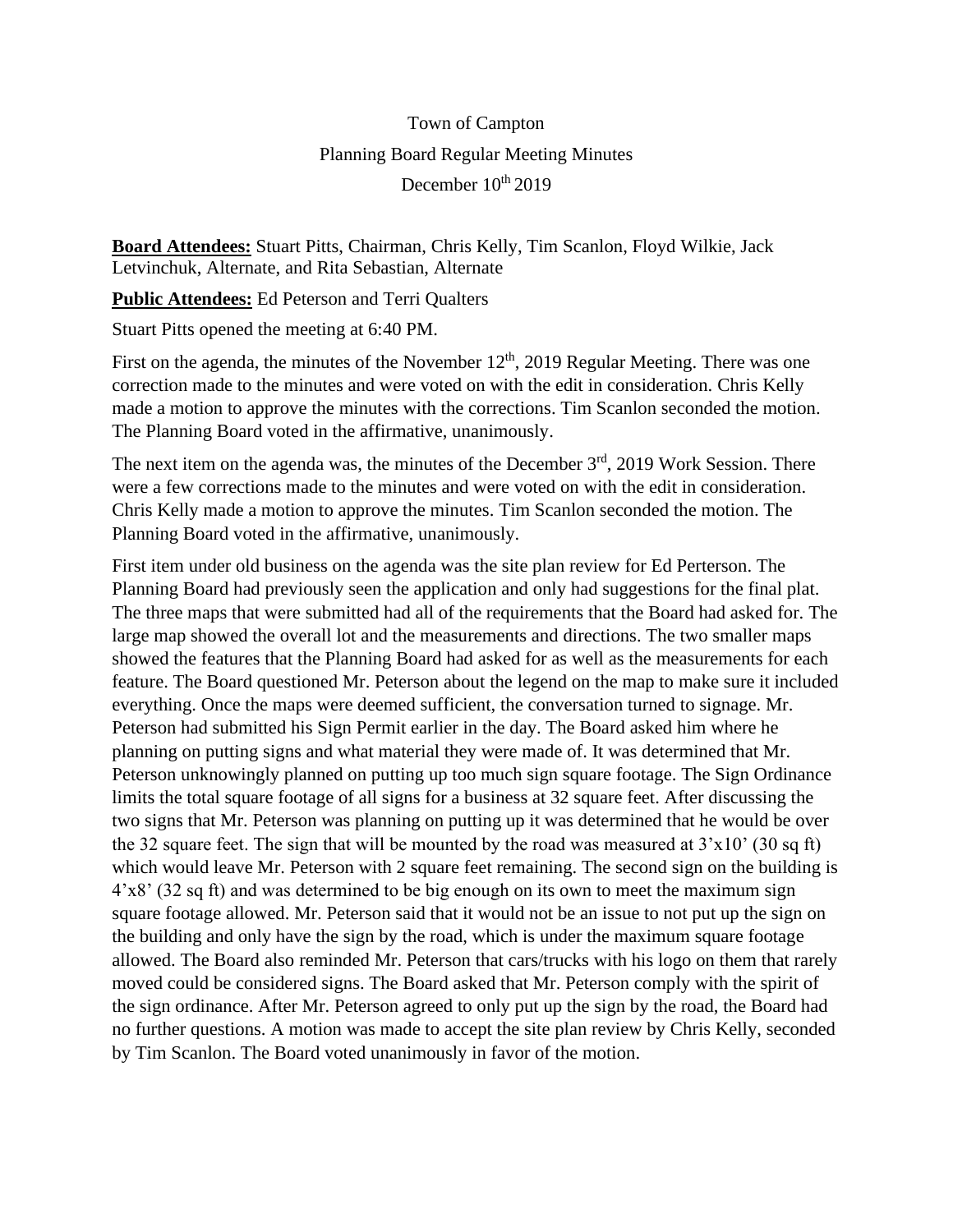## Town of Campton Planning Board Regular Meeting Minutes December  $10^{th}$  2019

**Board Attendees:** Stuart Pitts, Chairman, Chris Kelly, Tim Scanlon, Floyd Wilkie, Jack Letvinchuk, Alternate, and Rita Sebastian, Alternate

**Public Attendees:** Ed Peterson and Terri Qualters

Stuart Pitts opened the meeting at 6:40 PM.

First on the agenda, the minutes of the November  $12<sup>th</sup>$ , 2019 Regular Meeting. There was one correction made to the minutes and were voted on with the edit in consideration. Chris Kelly made a motion to approve the minutes with the corrections. Tim Scanlon seconded the motion. The Planning Board voted in the affirmative, unanimously.

The next item on the agenda was, the minutes of the December 3<sup>rd</sup>, 2019 Work Session. There were a few corrections made to the minutes and were voted on with the edit in consideration. Chris Kelly made a motion to approve the minutes. Tim Scanlon seconded the motion. The Planning Board voted in the affirmative, unanimously.

First item under old business on the agenda was the site plan review for Ed Perterson. The Planning Board had previously seen the application and only had suggestions for the final plat. The three maps that were submitted had all of the requirements that the Board had asked for. The large map showed the overall lot and the measurements and directions. The two smaller maps showed the features that the Planning Board had asked for as well as the measurements for each feature. The Board questioned Mr. Peterson about the legend on the map to make sure it included everything. Once the maps were deemed sufficient, the conversation turned to signage. Mr. Peterson had submitted his Sign Permit earlier in the day. The Board asked him where he planning on putting signs and what material they were made of. It was determined that Mr. Peterson unknowingly planned on putting up too much sign square footage. The Sign Ordinance limits the total square footage of all signs for a business at 32 square feet. After discussing the two signs that Mr. Peterson was planning on putting up it was determined that he would be over the 32 square feet. The sign that will be mounted by the road was measured at  $3'x10'$  (30 sq ft) which would leave Mr. Peterson with 2 square feet remaining. The second sign on the building is 4'x8' (32 sq ft) and was determined to be big enough on its own to meet the maximum sign square footage allowed. Mr. Peterson said that it would not be an issue to not put up the sign on the building and only have the sign by the road, which is under the maximum square footage allowed. The Board also reminded Mr. Peterson that cars/trucks with his logo on them that rarely moved could be considered signs. The Board asked that Mr. Peterson comply with the spirit of the sign ordinance. After Mr. Peterson agreed to only put up the sign by the road, the Board had no further questions. A motion was made to accept the site plan review by Chris Kelly, seconded by Tim Scanlon. The Board voted unanimously in favor of the motion.